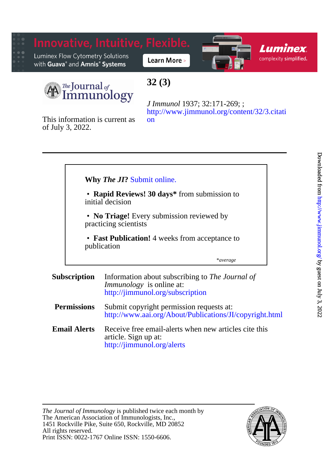

[on](http://www.jimmunol.org/content/32/3.citation) [http://www.jimmunol.org/content/32/3.citati](http://www.jimmunol.org/content/32/3.citation) *J Immunol* 1937; 32:171-269; ;

of July 3, 2022. This information is current as

|                     | <b>Why The JI?</b> Submit online.                                  |                                                                                                                        |
|---------------------|--------------------------------------------------------------------|------------------------------------------------------------------------------------------------------------------------|
|                     | • Rapid Reviews! 30 days* from submission to<br>initial decision   |                                                                                                                        |
|                     | • No Triage! Every submission reviewed by<br>practicing scientists |                                                                                                                        |
|                     | • Fast Publication! 4 weeks from acceptance to<br>publication      |                                                                                                                        |
|                     |                                                                    | *average                                                                                                               |
| <b>Subscription</b> |                                                                    | Information about subscribing to The Journal of<br><i>Immunology</i> is online at:<br>http://jimmunol.org/subscription |
| <b>Permissions</b>  |                                                                    | Submit copyright permission requests at:<br>http://www.aai.org/About/Publications/JI/copyright.html                    |
|                     | <b>Email Alerts</b>                                                | Receive free email-alerts when new articles cite this<br>article. Sign up at:<br>http://jimmunol.org/alerts            |